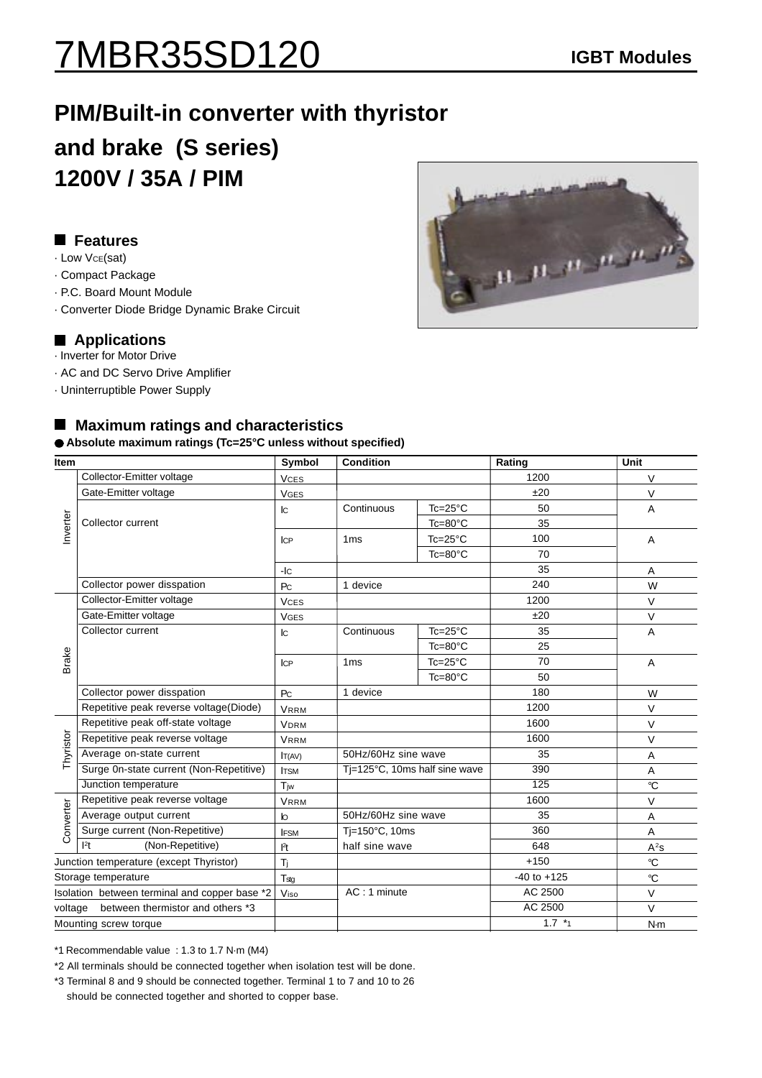## 7MBR35SD120 **IGBT Modules**

### **PIM/Built-in converter with thyristor and brake (S series) 1200V / 35A / PIM**

#### **Features**

- · Low VCE(sat)
- · Compact Package
- · P.C. Board Mount Module
- · Converter Diode Bridge Dynamic Brake Circuit

#### ■ Applications

- · Inverter for Motor Drive
- · AC and DC Servo Drive Amplifier
- · Uninterruptible Power Supply

# $\frac{1}{11}$  ,  $\frac{11}{11}$  ,  $\frac{11}{11}$  ,  $\frac{11}{11}$  ,  $\frac{11}{11}$

#### ■ Maximum ratings and characteristics

**Absolute maximum ratings (Tc=25°C unless without specified)**

| <b>Item</b>                                   |                                         | Symbol                    | <b>Condition</b>              |                    | Rating          | <b>Unit</b>    |  |
|-----------------------------------------------|-----------------------------------------|---------------------------|-------------------------------|--------------------|-----------------|----------------|--|
| Inverter                                      | Collector-Emitter voltage               | <b>VCES</b>               |                               |                    | 1200            | V              |  |
|                                               | Gate-Emitter voltage                    | <b>VGES</b>               |                               |                    | ±20             | V              |  |
|                                               |                                         | $\mathsf{I}\mathsf{C}$    | Continuous                    | $Tc = 25^{\circ}C$ | 50              | Α              |  |
|                                               | Collector current                       |                           |                               | Tc=80°C            | 35              |                |  |
|                                               |                                         | <b>ICP</b>                | 1 <sub>ms</sub>               | $Tc = 25^{\circ}C$ | 100             | A              |  |
|                                               |                                         |                           |                               | $Tc = 80^{\circ}C$ | 70              |                |  |
|                                               |                                         | $-IC$                     |                               |                    | 35              | Α              |  |
|                                               | Collector power disspation              | P <sub>C</sub>            | 1 device                      |                    | 240             | W              |  |
|                                               | Collector-Emitter voltage               | <b>VCES</b>               |                               |                    | 1200            | $\vee$         |  |
|                                               | Gate-Emitter voltage                    | <b>VGES</b>               |                               |                    | ±20             | $\vee$         |  |
| Brake                                         | Collector current                       | $\mathsf{I}^{\mathsf{C}}$ | Continuous                    | $Tc = 25^{\circ}C$ | 35              | A              |  |
|                                               |                                         |                           |                               | $Tc = 80^{\circ}C$ | 25              |                |  |
|                                               |                                         | <b>ICP</b>                | 1 <sub>ms</sub>               | $Tc = 25^{\circ}C$ | 70              | $\overline{A}$ |  |
|                                               |                                         |                           |                               | Tc=80°C            | 50              |                |  |
|                                               | Collector power disspation              | P <sub>C</sub>            | 1 device                      |                    | 180             | W              |  |
|                                               | Repetitive peak reverse voltage(Diode)  | <b>VRRM</b>               |                               |                    | 1200            | $\vee$         |  |
|                                               | Repetitive peak off-state voltage       | <b>VDRM</b>               |                               |                    | 1600            | V              |  |
| Thyristor                                     | Repetitive peak reverse voltage         | <b>VRRM</b>               |                               |                    | 1600            | V              |  |
|                                               | Average on-state current                | IT(AV)                    | 50Hz/60Hz sine wave           |                    | 35              | A              |  |
|                                               | Surge 0n-state current (Non-Repetitive) | <b>ITSM</b>               | Tj=125°C, 10ms half sine wave |                    | 390             | Α              |  |
|                                               | Junction temperature                    | Tiw                       |                               |                    | 125             | °C             |  |
|                                               | Repetitive peak reverse voltage         | <b>VRRM</b>               |                               |                    | 1600            | V              |  |
| Converter                                     | Average output current                  | $\mathsf{I}^{\mathsf{I}}$ | 50Hz/60Hz sine wave           |                    | 35              | A              |  |
|                                               | Surge current (Non-Repetitive)          | <b>IFSM</b>               | Ti=150°C, 10ms                |                    | 360             | A              |  |
|                                               | 1 <sup>2</sup> t<br>(Non-Repetitive)    | l <sup>2</sup> t          | half sine wave                |                    | 648             | $A^2s$         |  |
| Junction temperature (except Thyristor)       |                                         | Ti                        |                               |                    | $+150$          | $\mathrm{C}$   |  |
| Storage temperature                           |                                         | T <sub>stg</sub>          |                               |                    | $-40$ to $+125$ | $\mathrm{C}$   |  |
| Isolation between terminal and copper base *2 |                                         | Viso                      | AC: 1 minute                  |                    | AC 2500         | $\vee$         |  |
| between thermistor and others *3<br>voltage   |                                         |                           |                               |                    | AC 2500         | $\vee$         |  |
| Mounting screw torque                         |                                         |                           |                               |                    | $1.7 *_{1}$     | N·m            |  |

\*1 Recommendable value : 1.3 to 1.7 N·m (M4)

\*2 All terminals should be connected together when isolation test will be done.

\*3 Terminal 8 and 9 should be connected together. Terminal 1 to 7 and 10 to 26 should be connected together and shorted to copper base.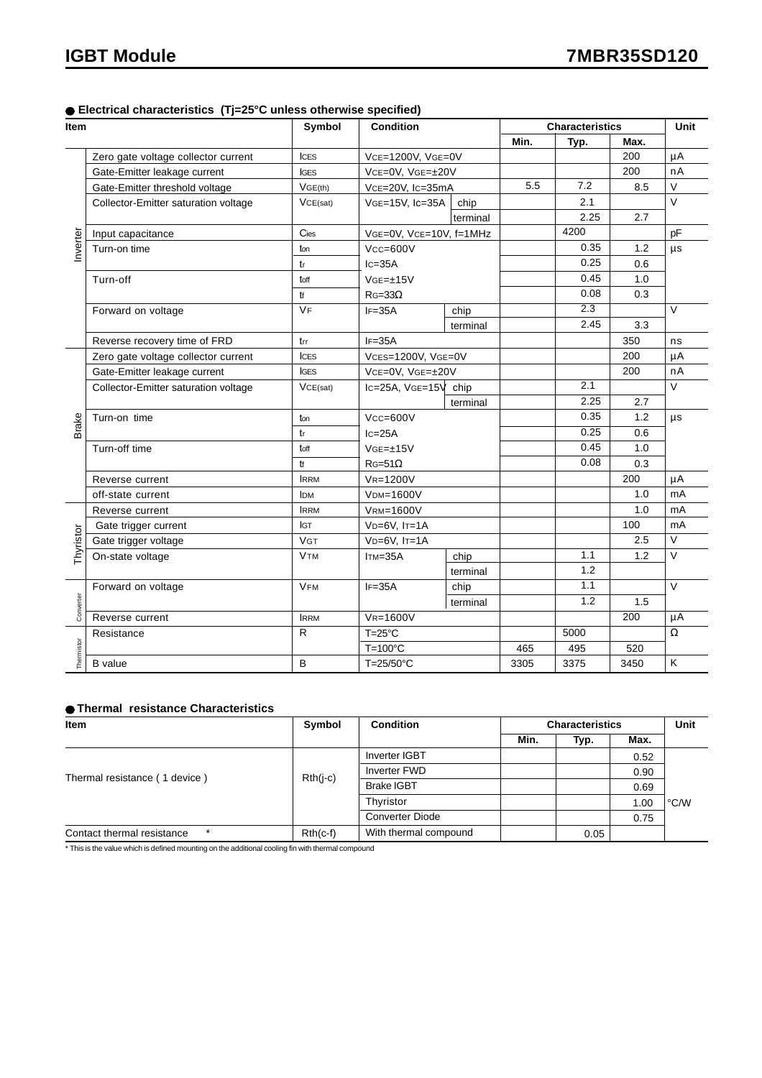#### **Electrical characteristics (Tj=25°C unless otherwise specified)**

| Item       |                                      | Symbol       | Condition                                                        |          | <b>Characteristics</b> |                  |      | Unit              |
|------------|--------------------------------------|--------------|------------------------------------------------------------------|----------|------------------------|------------------|------|-------------------|
|            |                                      |              |                                                                  |          | Min.                   | Typ.             | Max. |                   |
|            | Zero gate voltage collector current  | <b>ICES</b>  | VCE=1200V, VGE=0V                                                |          |                        |                  | 200  | μA                |
|            | Gate-Emitter leakage current         | <b>IGES</b>  | VCE=0V, VGE=±20V                                                 |          |                        |                  | 200  | nA                |
|            | Gate-Emitter threshold voltage       | VGE(th)      | VcE=20V, Ic=35mA                                                 |          | 5.5                    | 7.2              | 8.5  | V                 |
|            | Collector-Emitter saturation voltage | VCE(sat)     | VGE=15V, Ic=35A                                                  | chip     |                        | 2.1              |      | $\vee$            |
| Inverter   |                                      |              |                                                                  | terminal |                        | 2.25             | 2.7  |                   |
|            | Input capacitance                    | Cies         | VGE=0V, VCE=10V, f=1MHz                                          |          |                        | 4200             |      | pF                |
|            | Turn-on time                         | ton          | $Vcc = 600V$<br>$lc = 35A$<br>$VGE=\pm 15V$<br>$R$ G=33 $\Omega$ |          |                        | 0.35             | 1.2  | $\mu s$           |
|            |                                      | tr           |                                                                  |          |                        | 0.25             | 0.6  |                   |
|            | Turn-off                             | toff         |                                                                  |          |                        | 0.45             | 1.0  |                   |
|            |                                      | tf           |                                                                  |          |                        | 0.08             | 0.3  |                   |
|            | Forward on voltage                   | <b>VF</b>    | $IF = 35A$                                                       | chip     |                        | $\overline{2.3}$ |      | $\vee$            |
|            |                                      |              |                                                                  | terminal |                        | 2.45             | 3.3  |                   |
|            | Reverse recovery time of FRD         | trr          | $IF = 35A$                                                       |          |                        |                  | 350  | ns                |
|            | Zero gate voltage collector current  | <b>ICES</b>  | VCES=1200V, VGE=0V                                               |          |                        |                  | 200  | μA                |
|            | Gate-Emitter leakage current         | <b>IGES</b>  | VCE=0V, VGE=±20V                                                 |          |                        |                  | 200  | nA                |
|            | Collector-Emitter saturation voltage | VCE(sat)     | $lc = 25A$ , $VGE = 15V$ chip                                    |          |                        | 2.1              |      | $\vee$            |
|            |                                      |              |                                                                  | terminal |                        | 2.25             | 2.7  |                   |
|            | $Vcc = 600V$<br>Turn-on time<br>ton  |              |                                                                  |          | 0.35                   | 1.2              | μs   |                   |
| Brake      |                                      | tr           | $lc = 25A$<br>$VGE=\pm 15V$                                      |          |                        | 0.25             | 0.6  |                   |
|            | Turn-off time                        | toff         |                                                                  |          |                        | 0.45             | 1.0  |                   |
|            |                                      | $1$          | $RG=51\Omega$                                                    |          |                        | 0.08             | 0.3  |                   |
|            | Reverse current                      | <b>IRRM</b>  | VR=1200V                                                         |          |                        |                  | 200  | μA                |
|            | off-state current                    | <b>IDM</b>   | <b>VDM=1600V</b>                                                 |          |                        |                  | 1.0  | mA                |
|            | Reverse current                      | <b>IRRM</b>  | <b>VRM=1600V</b>                                                 |          |                        |                  | 1.0  | mA                |
|            | Gate trigger current                 | <b>IGT</b>   | $VD=6V$ , $Ir=1A$                                                |          |                        |                  | 100  | mA                |
| Thyristor  | Gate trigger voltage                 | <b>VGT</b>   | $VD=6V$ , $Ir=1A$                                                |          |                        |                  | 2.5  | $\overline{\vee}$ |
|            | On-state voltage                     | <b>VTM</b>   | $Im=35A$                                                         | chip     |                        | 1.1              | 1.2  | V                 |
|            |                                      |              |                                                                  | terminal |                        | 1.2              |      |                   |
| Converter  | Forward on voltage                   | <b>VFM</b>   | $IF = 35A$                                                       | chip     |                        | 1.1              |      | $\vee$            |
|            |                                      |              |                                                                  | terminal |                        | 1.2              | 1.5  |                   |
|            | Reverse current                      | <b>IRRM</b>  | VR=1600V                                                         |          |                        |                  | 200  | μA                |
|            | Resistance                           | $\mathsf{R}$ | $T=25^{\circ}C$                                                  |          |                        | 5000             |      | $\Omega$          |
| Thermistor |                                      |              | $T=100^{\circ}C$                                                 |          | 465                    | 495              | 520  |                   |
|            | <b>B</b> value                       | B            | $T=25/50^{\circ}C$                                               |          | 3305                   | 3375             | 3450 | Κ                 |

#### **Thermal resistance Characteristics**

| Item                          | Symbol     | <b>Condition</b>       | <b>Characteristics</b> |      |      | Unit |
|-------------------------------|------------|------------------------|------------------------|------|------|------|
|                               |            |                        | Min.                   | Typ. | Max. |      |
|                               | $Rth(i-c)$ | <b>Inverter IGBT</b>   |                        |      | 0.52 | °C/W |
| Thermal resistance (1 device) |            | <b>Inverter FWD</b>    |                        |      | 0.90 |      |
|                               |            | <b>Brake IGBT</b>      |                        |      | 0.69 |      |
|                               |            | Thyristor              |                        |      | 1.00 |      |
|                               |            | <b>Converter Diode</b> |                        |      | 0.75 |      |
| Contact thermal resistance    | $Rth(c-f)$ | With thermal compound  |                        | 0.05 |      |      |

\* This is the value which is defined mounting on the additional cooling fin with thermal compound